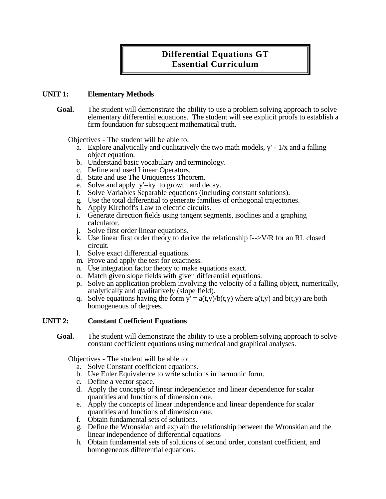# **Differential Equations GT Essential Curriculum**

# **UNIT 1: Elementary Methods**

**Goal.** The student will demonstrate the ability to use a problem-solving approach to solve elementary differential equations. The student will see explicit proofs to establish a firm foundation for subsequent mathematical truth.

Objectives - The student will be able to:

- a. Explore analytically and qualitatively the two math models,  $y' 1/x$  and a falling object equation.
- b. Understand basic vocabulary and terminology.
- c. Define and used Linear Operators.
- d. State and use The Uniqueness Theorem.
- e. Solve and apply y'=ky to growth and decay.
- f. Solve Variables Separable equations (including constant solutions).
- g. Use the total differential to generate families of orthogonal trajectories.
- h. Apply Kirchoff's Law to electric circuits.
- i. Generate direction fields using tangent segments, isoclines and a graphing calculator.
- j. Solve first order linear equations.
- k. Use linear first order theory to derive the relationship I-->V/R for an RL closed circuit.
- l. Solve exact differential equations.
- m. Prove and apply the test for exactness.
- n. Use integration factor theory to make equations exact.
- o. Match given slope fields with given differential equations.
- p. Solve an application problem involving the velocity of a falling object, numerically, analytically and qualitatively (slope field).
- q. Solve equations having the form  $y' = a(t,y)/b(t,y)$  where  $a(t,y)$  and  $b(t,y)$  are both homogeneous of degrees.

# **UNIT 2: Constant Coefficient Equations**

**Goal.** The student will demonstrate the ability to use a problem-solving approach to solve constant coefficient equations using numerical and graphical analyses.

- a. Solve Constant coefficient equations.
- b. Use Euler Equivalence to write solutions in harmonic form.
- c. Define a vector space.
- d. Apply the concepts of linear independence and linear dependence for scalar quantities and functions of dimension one.
- e. Apply the concepts of linear independence and linear dependence for scalar quantities and functions of dimension one.
- f. Obtain fundamental sets of solutions.
- g. Define the Wronskian and explain the relationship between the Wronskian and the linear independence of differential equations
- h. Obtain fundamental sets of solutions of second order, constant coefficient, and homogeneous differential equations.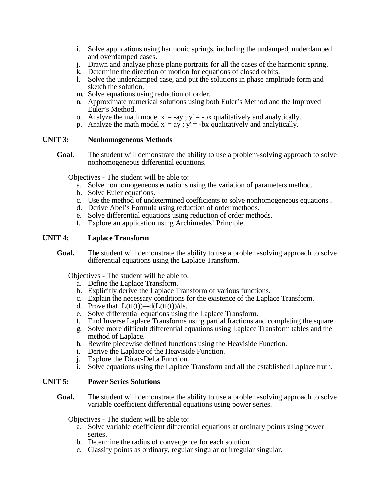- i. Solve applications using harmonic springs, including the undamped, underdamped and overdamped cases.
- j. Drawn and analyze phase plane portraits for all the cases of the harmonic spring.
- k. Determine the direction of motion for equations of closed orbits.
- l. Solve the underdamped case, and put the solutions in phase amplitude form and sketch the solution.
- m. Solve equations using reduction of order.
- n. Approximate numerical solutions using both Euler's Method and the Improved Euler's Method.
- o. Analyze the math model  $x' = -ay$ ;  $y' = -bx$  qualitatively and analytically.
- p. Analyze the math model  $x' = ay$ ;  $y' = -bx$  qualitatively and analytically.

### **UNIT 3: Nonhomogeneous Methods**

**Goal.** The student will demonstrate the ability to use a problem-solving approach to solve nonhomogeneous differential equations.

Objectives **-** The student will be able to:

- a. Solve nonhomogeneous equations using the variation of parameters method.
- b. Solve Euler equations.
- c. Use the method of undetermined coefficients to solve nonhomogeneous equations .
- d. Derive Abel's Formula using reduction of order methods.
- e. Solve differential equations using reduction of order methods.
- f. Explore an application using Archimedes' Principle.

# **UNIT 4: Laplace Transform**

Goal. The student will demonstrate the ability to use a problem-solving approach to solve differential equations using the Laplace Transform.

Objectives **-** The student will be able to:

- a. Define the Laplace Transform.
- b. Explicitly derive the Laplace Transform of various functions.
- c. Explain the necessary conditions for the existence of the Laplace Transform.
- d. Prove that  $L(tf(t)) = d(L(tf(t))/ds$ .
- e. Solve differential equations using the Laplace Transform.
- f. Find Inverse Laplace Transforms using partial fractions and completing the square.
- g. Solve more difficult differential equations using Laplace Transform tables and the method of Laplace.
- h. Rewrite piecewise defined functions using the Heaviside Function.
- i. Derive the Laplace of the Heaviside Function.
- j. Explore the Dirac-Delta Function.
- i. Solve equations using the Laplace Transform and all the established Laplace truth.

# **UNIT 5: Power Series Solutions**

**Goal.** The student will demonstrate the ability to use a problem-solving approach to solve variable coefficient differential equations using power series.

- a. Solve variable coefficient differential equations at ordinary points using power series.
- b. Determine the radius of convergence for each solution
- c. Classify points as ordinary, regular singular or irregular singular.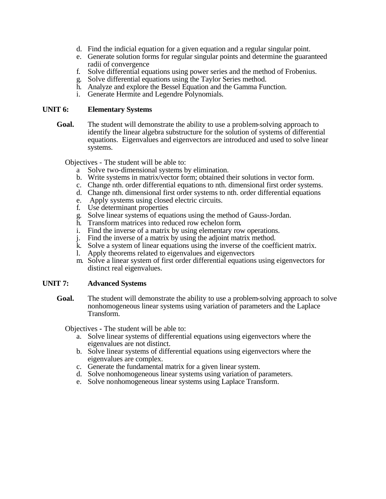- d. Find the indicial equation for a given equation and a regular singular point.
- e. Generate solution forms for regular singular points and determine the guaranteed radii of convergence
- f. Solve differential equations using power series and the method of Frobenius.
- g. Solve differential equations using the Taylor Series method.
- h. Analyze and explore the Bessel Equation and the Gamma Function.
- i. Generate Hermite and Legendre Polynomials.

### **UNIT 6: Elementary Systems**

**Goal.** The student will demonstrate the ability to use a problem-solving approach to identify the linear algebra substructure for the solution of systems of differential equations. Eigenvalues and eigenvectors are introduced and used to solve linear systems.

Objectives - The student will be able to:

- a Solve two-dimensional systems by elimination.
- b. Write systems in matrix/vector form; obtained their solutions in vector form.
- c. Change nth. order differential equations to nth. dimensional first order systems.
- d. Change nth. dimensional first order systems to nth. order differential equations
- e. Apply systems using closed electric circuits.
- f. Use determinant properties
- g. Solve linear systems of equations using the method of Gauss-Jordan.
- h. Transform matrices into reduced row echelon form.
- i. Find the inverse of a matrix by using elementary row operations.
- j. Find the inverse of a matrix by using the adjoint matrix method.
- k. Solve a system of linear equations using the inverse of the coefficient matrix.
- l. Apply theorems related to eigenvalues and eigenvectors
- m. Solve a linear system of first order differential equations using eigenvectors for distinct real eigenvalues.

# **UNIT 7: Advanced Systems**

**Goal.** The student will demonstrate the ability to use a problem-solving approach to solve nonhomogeneous linear systems using variation of parameters and the Laplace Transform.

- a. Solve linear systems of differential equations using eigenvectors where the eigenvalues are not distinct.
- b. Solve linear systems of differential equations using eigenvectors where the eigenvalues are complex.
- c. Generate the fundamental matrix for a given linear system.
- d. Solve nonhomogeneous linear systems using variation of parameters.
- e. Solve nonhomogeneous linear systems using Laplace Transform.